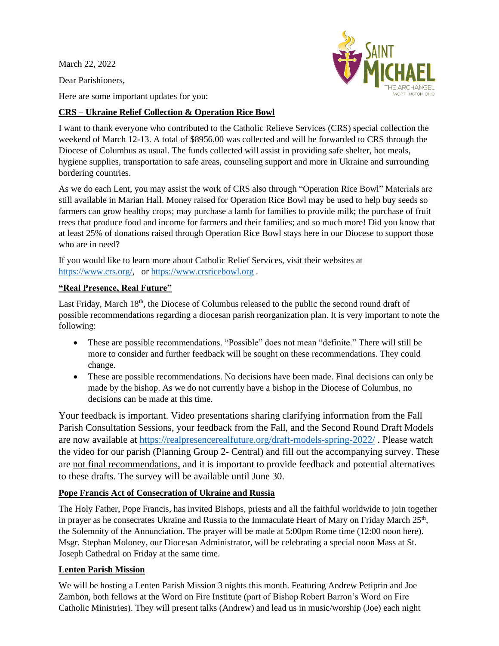March 22, 2022

Dear Parishioners,



Here are some important updates for you:

## **CRS – Ukraine Relief Collection & Operation Rice Bowl**

I want to thank everyone who contributed to the Catholic Relieve Services (CRS) special collection the weekend of March 12-13. A total of \$8956.00 was collected and will be forwarded to CRS through the Diocese of Columbus as usual. The funds collected will assist in providing safe shelter, hot meals, hygiene supplies, transportation to safe areas, counseling support and more in Ukraine and surrounding bordering countries.

As we do each Lent, you may assist the work of CRS also through "Operation Rice Bowl" Materials are still available in Marian Hall. Money raised for Operation Rice Bowl may be used to help buy seeds so farmers can grow healthy crops; may purchase a lamb for families to provide milk; the purchase of fruit trees that produce food and income for farmers and their families; and so much more! Did you know that at least 25% of donations raised through Operation Rice Bowl stays here in our Diocese to support those who are in need?

If you would like to learn more about Catholic Relief Services, visit their websites at [https://www.crs.org/,](https://www.crs.org/) or [https://www.crsricebowl.org](https://www.crsricebowl.org/) .

## **"Real Presence, Real Future"**

Last Friday, March  $18<sup>th</sup>$ , the Diocese of Columbus released to the public the second round draft of possible recommendations regarding a diocesan parish reorganization plan. It is very important to note the following:

- These are possible recommendations. "Possible" does not mean "definite." There will still be more to consider and further feedback will be sought on these recommendations. They could change.
- These are possible recommendations. No decisions have been made. Final decisions can only be made by the bishop. As we do not currently have a bishop in the Diocese of Columbus, no decisions can be made at this time.

Your feedback is important. Video presentations sharing clarifying information from the Fall Parish Consultation Sessions, your feedback from the Fall, and the Second Round Draft Models are now available at<https://realpresencerealfuture.org/draft-models-spring-2022/> . Please watch the video for our parish (Planning Group 2- Central) and fill out the accompanying survey. These are not final recommendations, and it is important to provide feedback and potential alternatives to these drafts. The survey will be available until June 30.

## **Pope Francis Act of Consecration of Ukraine and Russia**

The Holy Father, Pope Francis, has invited Bishops, priests and all the faithful worldwide to join together in prayer as he consecrates Ukraine and Russia to the Immaculate Heart of Mary on Friday March 25<sup>th</sup>, the Solemnity of the Annunciation. The prayer will be made at 5:00pm Rome time (12:00 noon here). Msgr. Stephan Moloney, our Diocesan Administrator, will be celebrating a special noon Mass at St. Joseph Cathedral on Friday at the same time.

## **Lenten Parish Mission**

We will be hosting a Lenten Parish Mission 3 nights this month. Featuring Andrew Petiprin and Joe Zambon, both fellows at the Word on Fire Institute (part of Bishop Robert Barron's Word on Fire Catholic Ministries). They will present talks (Andrew) and lead us in music/worship (Joe) each night